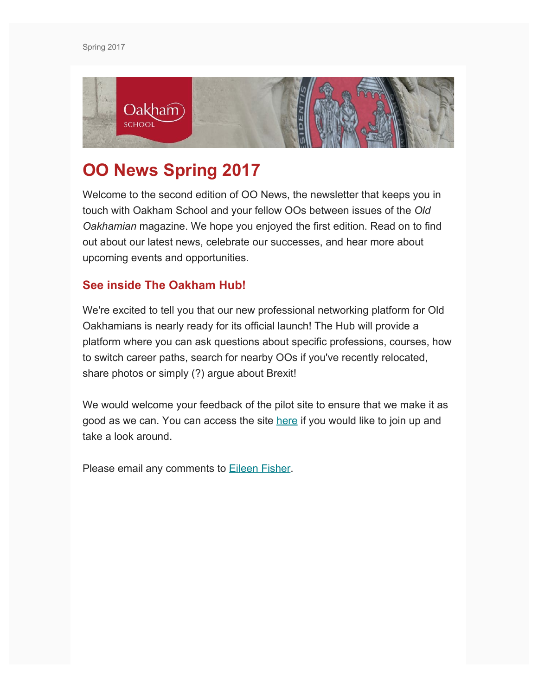

# **OO News Spring 2017**

Welcome to the second edition of OO News, the newsletter that keeps you in touch with Oakham School and your fellow OOs between issues of the *Old Oakhamian* magazine. We hope you enjoyed the first edition. Read on to find out about our latest news, celebrate our successes, and hear more about upcoming events and opportunities.

## **See inside The Oakham Hub!**

We're excited to tell you that our new professional networking platform for Old Oakhamians is nearly ready for its official launch! The Hub will provide a platform where you can ask questions about specific professions, courses, how to switch career paths, search for nearby OOs if you've recently relocated, share photos or simply (?) argue about Brexit!

We would welcome your feedback of the pilot site to ensure that we make it as good as we can. You can access the site [here](https://thehuboakham.com/) if you would like to join up and take a look around.

Please email any comments to **Eileen Fisher**.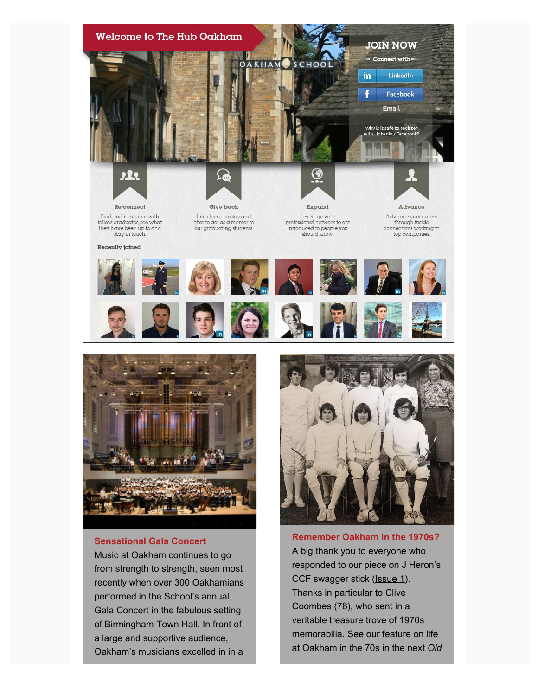



#### **Sensational Gala Concert**

Music at Oakham continues to go from strength to strength, seen most recently when over 300 Oakhamians performed in the School's annual Gala Concert in the fabulous setting of Birmingham Town Hall. In front of a large and supportive audience, Oakham's musicians excelled in in a



memorabilia. See our feature on life at Oakham in the 70s in the next *Old*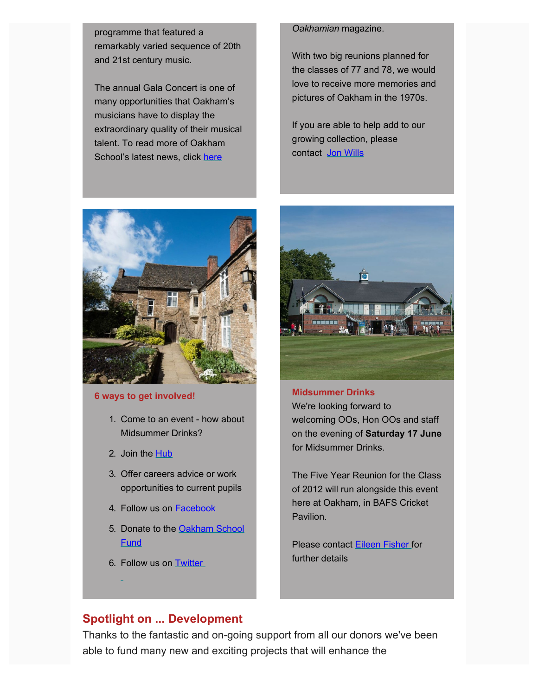programme that featured a remarkably varied sequence of 20th and 21st century music.

The annual Gala Concert is one of many opportunities that Oakham's musicians have to display the extraordinary quality of their musical talent. To read more of Oakham School's latest news, click [here](https://www.oakham.rutland.sch.uk/Sensational-Gala-Concert?returnUrl=/Latest-News)



#### **6 ways to get involved!**

- 1. Come to an event how about Midsummer Drinks?
- 2. Join the [Hub](https://thehuboakham.com/)
- 3. Offer careers advice or work opportunities to current pupils
- 4. Follow us on **[Facebook](https://www.facebook.com/groups/134423469907714/)**
- 5. Donate to the [Oakham School](https://www.oakham.rutland.sch.uk/How-to-Donate) **[Fund](https://www.oakham.rutland.sch.uk/How-to-Donate)**
- 6. Follow us on [Twitter](https://twitter.com/oakhamsch)

#### *Oakhamian* magazine.

With two big reunions planned for the classes of 77 and 78, we would love to receive more memories and pictures of Oakham in the 1970s.

If you are able to help add to our growing collection, please contact [Jon Wills](mailto:jw@oakham.rutland.sch.uk?subject=1970s%20Collection)



#### **Midsummer Drinks**

We're looking forward to welcoming OOs, Hon OOs and staff on the evening of **Saturday 17 June** for Midsummer Drinks.

The Five Year Reunion for the Class of 2012 will run alongside this event here at Oakham, in BAFS Cricket Pavilion.

Please contact [Eileen Fisher](mailto:ecf@oakham.rutland.sch.uk?subject=Midsummer%20Drinks%20June%2017%202017) for further details

## **Spotlight on ... Development**

Thanks to the fantastic and on-going support from all our donors we've been able to fund many new and exciting projects that will enhance the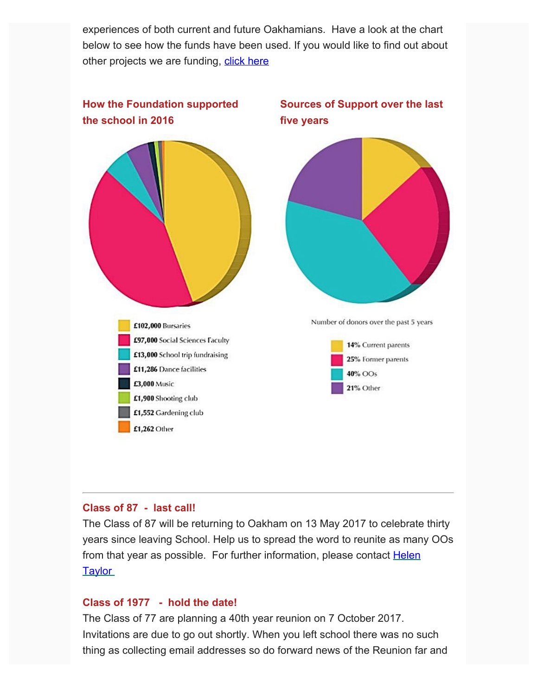experiences of both current and future Oakhamians. Have a look at the chart below to see how the funds have been used. If you would like to find out about other projects we are funding, [click here](https://www.oakham.rutland.sch.uk/Current-Projects)



## **Class of 87 - last call!**

The Class of 87 will be returning to Oakham on 13 May 2017 to celebrate thirty years since leaving School. Help us to spread the word to reunite as many OOs from that year as possible. For further information, please contact [Helen](mailto:h.taylor280@btinternet.com?subject=Class%20of%2087%20Reunion%20(from%20newsletter)) **[Taylor](mailto:h.taylor280@btinternet.com?subject=Class%20of%2087%20Reunion%20(from%20newsletter))** 

#### **Class of 1977 - hold the date!**

The Class of 77 are planning a 40th year reunion on 7 October 2017. Invitations are due to go out shortly. When you left school there was no such thing as collecting email addresses so do forward news of the Reunion far and